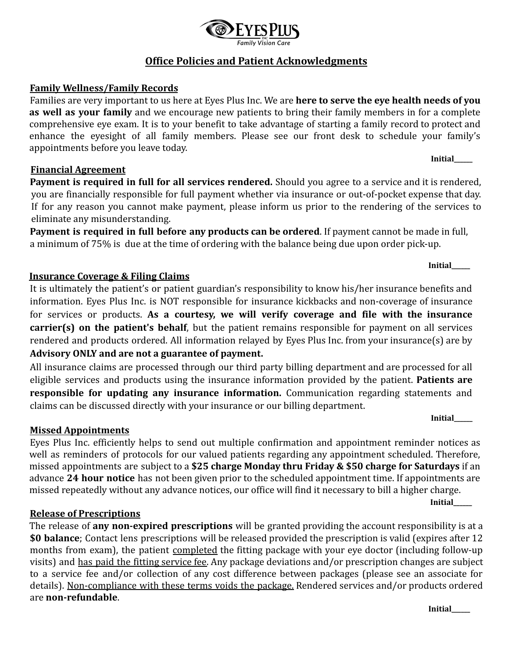# **Office Policies and Patient Acknowledgments**

#### **Family Wellness/Family Records**

Families are very important to us here at Eyes Plus Inc. We are **here to serve the eye health needs of you as well as your family** and we encourage new patients to bring their family members in for a complete comprehensive eye exam. It is to your benefit to take advantage of starting a family record to protect and enhance the eyesight of all family members. Please see our front desk to schedule your family's appointments before you leave today.

#### **Financial Agreement**

**Payment is required in full for all services rendered.** Should you agree to a service and it is rendered, you are financially responsible for full payment whether via insurance or out-of-pocket expense that day. If for any reason you cannot make payment, please inform us prior to the rendering of the services to eliminate any misunderstanding.

**Payment is required in full before any products can be ordered**. If payment cannot be made in full, a minimum of 75% is due at the time of ordering with the balance being due upon order pick-up.

### **Insurance Coverage & Filing Claims**

It is ultimately the patient's or patient guardian's responsibility to know his/her insurance benefits and information. Eyes Plus Inc. is NOT responsible for insurance kickbacks and non-coverage of insurance for services or products. **As a courtesy, we will verify coverage and file with the insurance carrier(s) on the patient's behalf**, but the patient remains responsible for payment on all services rendered and products ordered. All information relayed by Eyes Plus Inc. from your insurance(s) are by **Advisory ONLY and are not a guarantee of payment.**

All insurance claims are processed through our third party billing department and are processed for all eligible services and products using the insurance information provided by the patient. **Patients are responsible for updating any insurance information.** Communication regarding statements and claims can be discussed directly with your insurance or our billing department.

#### **Missed Appointments**

Eyes Plus Inc. efficiently helps to send out multiple confirmation and appointment reminder notices as well as reminders of protocols for our valued patients regarding any appointment scheduled. Therefore, missed appointments are subject to a **\$25 charge Monday thru Friday & \$50 charge for Saturdays** if an advance **24 hour notice** has not been given prior to the scheduled appointment time. If appointments are missed repeatedly without any advance notices, our office will find it necessary to bill a higher charge.

**Initial\_\_\_\_\_\_**

### **Release of Prescriptions**

The release of **any non-expired prescriptions** will be granted providing the account responsibility is at a **\$0 balance**; Contact lens prescriptions will be released provided the prescription is valid (expires after 12 months from exam), the patient completed the fitting package with your eye doctor (including follow-up visits) and has paid the fitting service fee. Any package deviations and/or prescription changes are subject to a service fee and/or collection of any cost difference between packages (please see an associate for details). Non-compliance with these terms voids the package. Rendered services and/or products ordered are **non-refundable**.



**Initial\_\_\_\_\_\_**

**Initial\_\_\_\_\_\_**

**Initial\_\_\_\_\_\_**

**Initial\_\_\_\_\_\_**